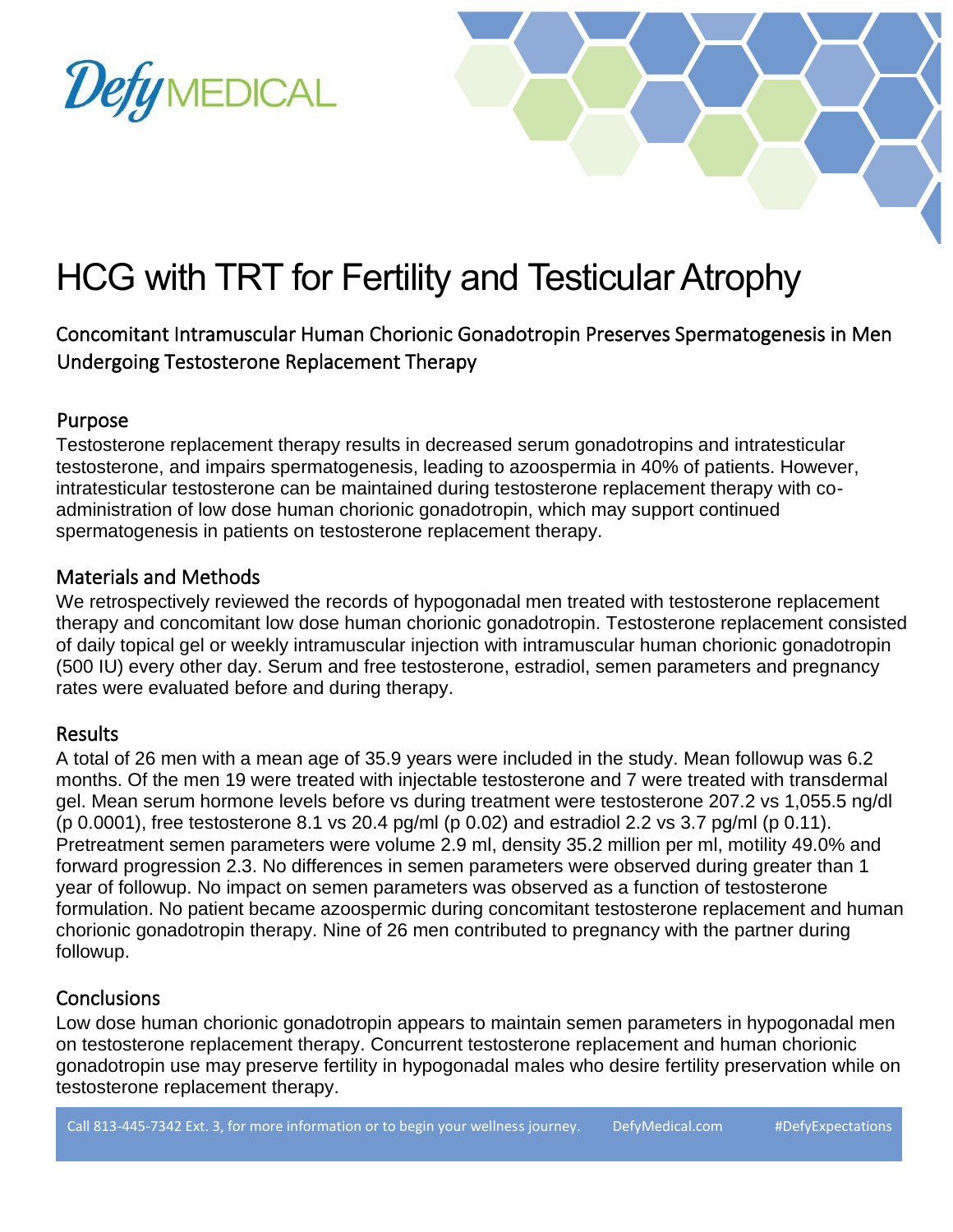



# HCG with TRT for Fertility and Testicular Atrophy

Concomitant Intramuscular Human Chorionic Gonadotropin Preserves Spermatogenesis in Men Undergoing Testosterone Replacement Therapy

# Purpose

Testosterone replacement therapy results in decreased serum gonadotropins and intratesticular testosterone, and impairs spermatogenesis, leading to azoospermia in 40% of patients. However, intratesticular testosterone can be maintained during testosterone replacement therapy with coadministration of low dose human chorionic gonadotropin, which may support continued spermatogenesis in patients on testosterone replacement therapy.

# Materials and Methods

We retrospectively reviewed the records of hypogonadal men treated with testosterone replacement therapy and concomitant low dose human chorionic gonadotropin. Testosterone replacement consisted of daily topical gel or weekly intramuscular injection with intramuscular human chorionic gonadotropin (500 IU) every other day. Serum and free testosterone, estradiol, semen parameters and pregnancy rates were evaluated before and during therapy.

# Results

A total of 26 men with a mean age of 35.9 years were included in the study. Mean followup was 6.2 months. Of the men 19 were treated with injectable testosterone and 7 were treated with transdermal gel. Mean serum hormone levels before vs during treatment were testosterone 207.2 vs 1,055.5 ng/dl (p 0.0001), free testosterone 8.1 vs 20.4 pg/ml (p 0.02) and estradiol 2.2 vs 3.7 pg/ml (p 0.11). Pretreatment semen parameters were volume 2.9 ml, density 35.2 million per ml, motility 49.0% and forward progression 2.3. No differences in semen parameters were observed during greater than 1 year of followup. No impact on semen parameters was observed as a function of testosterone formulation. No patient became azoospermic during concomitant testosterone replacement and human chorionic gonadotropin therapy. Nine of 26 men contributed to pregnancy with the partner during followup.

# **Conclusions**

Low dose human chorionic gonadotropin appears to maintain semen parameters in hypogonadal men on testosterone replacement therapy. Concurrent testosterone replacement and human chorionic gonadotropin use may preserve fertility in hypogonadal males who desire fertility preservation while on testosterone replacement therapy.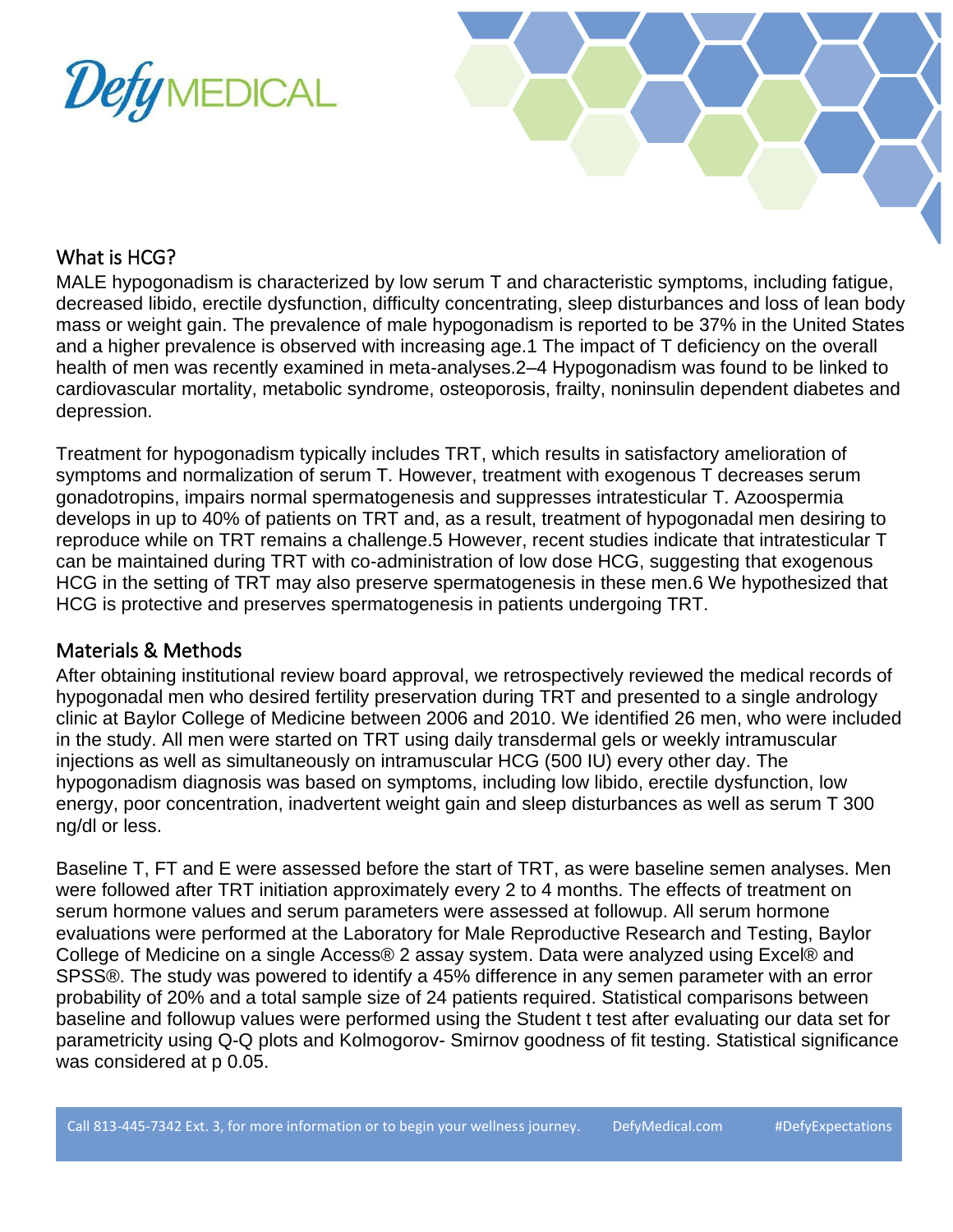



## What is HCG?

MALE hypogonadism is characterized by low serum T and characteristic symptoms, including fatigue, decreased libido, erectile dysfunction, difficulty concentrating, sleep disturbances and loss of lean body mass or weight gain. The prevalence of male hypogonadism is reported to be 37% in the United States and a higher prevalence is observed with increasing age.1 The impact of T deficiency on the overall health of men was recently examined in meta-analyses.2–4 Hypogonadism was found to be linked to cardiovascular mortality, metabolic syndrome, osteoporosis, frailty, noninsulin dependent diabetes and depression.

Treatment for hypogonadism typically includes TRT, which results in satisfactory amelioration of symptoms and normalization of serum T. However, treatment with exogenous T decreases serum gonadotropins, impairs normal spermatogenesis and suppresses intratesticular T. Azoospermia develops in up to 40% of patients on TRT and, as a result, treatment of hypogonadal men desiring to reproduce while on TRT remains a challenge.5 However, recent studies indicate that intratesticular T can be maintained during TRT with co-administration of low dose HCG, suggesting that exogenous HCG in the setting of TRT may also preserve spermatogenesis in these men.6 We hypothesized that HCG is protective and preserves spermatogenesis in patients undergoing TRT.

### Materials & Methods

After obtaining institutional review board approval, we retrospectively reviewed the medical records of hypogonadal men who desired fertility preservation during TRT and presented to a single andrology clinic at Baylor College of Medicine between 2006 and 2010. We identified 26 men, who were included in the study. All men were started on TRT using daily transdermal gels or weekly intramuscular injections as well as simultaneously on intramuscular HCG (500 IU) every other day. The hypogonadism diagnosis was based on symptoms, including low libido, erectile dysfunction, low energy, poor concentration, inadvertent weight gain and sleep disturbances as well as serum T 300 ng/dl or less.

Baseline T, FT and E were assessed before the start of TRT, as were baseline semen analyses. Men were followed after TRT initiation approximately every 2 to 4 months. The effects of treatment on serum hormone values and serum parameters were assessed at followup. All serum hormone evaluations were performed at the Laboratory for Male Reproductive Research and Testing, Baylor College of Medicine on a single Access® 2 assay system. Data were analyzed using Excel® and SPSS®. The study was powered to identify a 45% difference in any semen parameter with an error probability of 20% and a total sample size of 24 patients required. Statistical comparisons between baseline and followup values were performed using the Student t test after evaluating our data set for parametricity using Q-Q plots and Kolmogorov- Smirnov goodness of fit testing. Statistical significance was considered at p 0.05.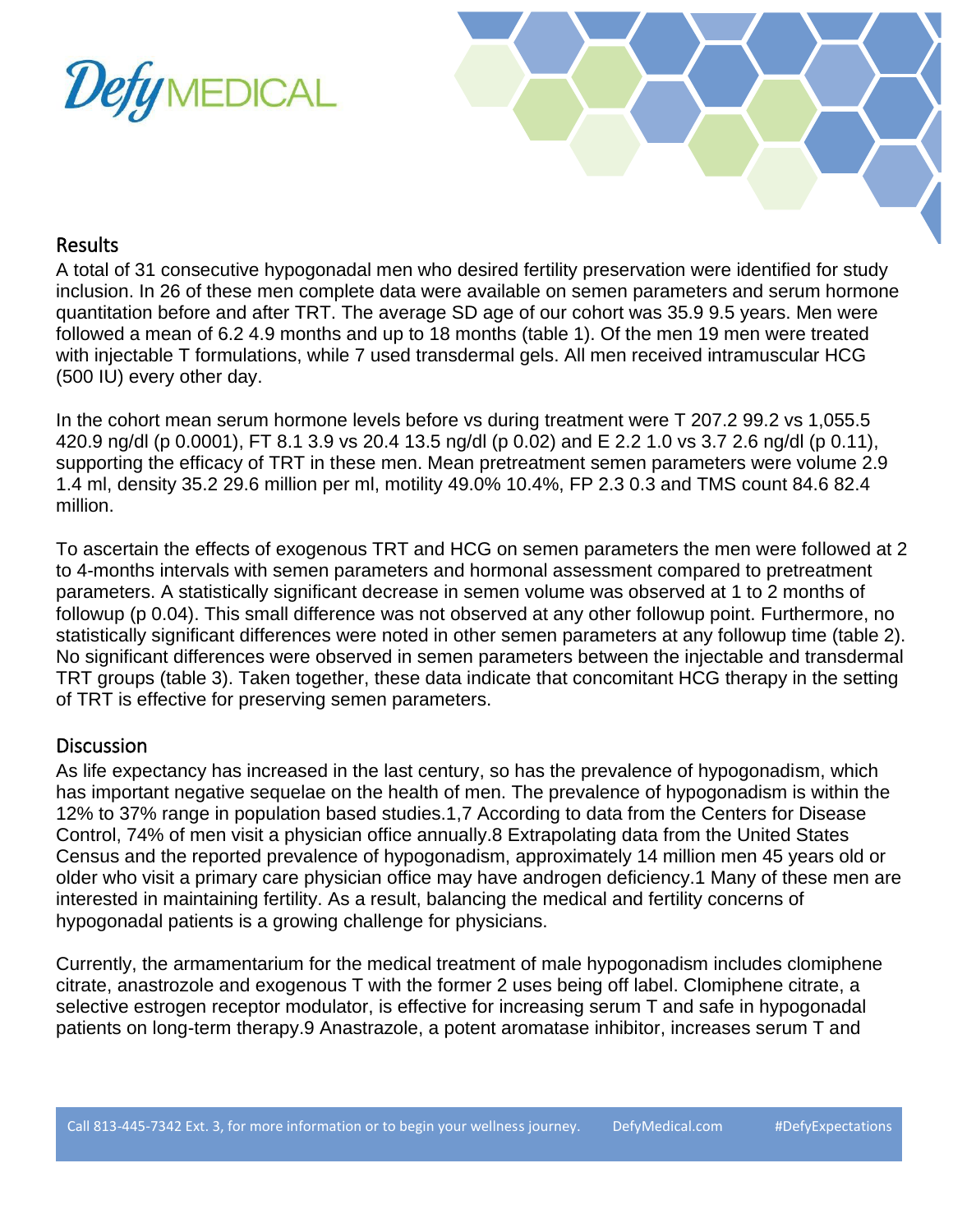



#### Results

A total of 31 consecutive hypogonadal men who desired fertility preservation were identified for study inclusion. In 26 of these men complete data were available on semen parameters and serum hormone quantitation before and after TRT. The average SD age of our cohort was 35.9 9.5 years. Men were followed a mean of 6.2 4.9 months and up to 18 months (table 1). Of the men 19 men were treated with injectable T formulations, while 7 used transdermal gels. All men received intramuscular HCG (500 IU) every other day.

In the cohort mean serum hormone levels before vs during treatment were T 207.2 99.2 vs 1,055.5 420.9 ng/dl (p 0.0001), FT 8.1 3.9 vs 20.4 13.5 ng/dl (p 0.02) and E 2.2 1.0 vs 3.7 2.6 ng/dl (p 0.11), supporting the efficacy of TRT in these men. Mean pretreatment semen parameters were volume 2.9 1.4 ml, density 35.2 29.6 million per ml, motility 49.0% 10.4%, FP 2.3 0.3 and TMS count 84.6 82.4 million.

To ascertain the effects of exogenous TRT and HCG on semen parameters the men were followed at 2 to 4-months intervals with semen parameters and hormonal assessment compared to pretreatment parameters. A statistically significant decrease in semen volume was observed at 1 to 2 months of followup (p 0.04). This small difference was not observed at any other followup point. Furthermore, no statistically significant differences were noted in other semen parameters at any followup time (table 2). No significant differences were observed in semen parameters between the injectable and transdermal TRT groups (table 3). Taken together, these data indicate that concomitant HCG therapy in the setting of TRT is effective for preserving semen parameters.

### **Discussion**

As life expectancy has increased in the last century, so has the prevalence of hypogonadism, which has important negative sequelae on the health of men. The prevalence of hypogonadism is within the 12% to 37% range in population based studies.1,7 According to data from the Centers for Disease Control, 74% of men visit a physician office annually.8 Extrapolating data from the United States Census and the reported prevalence of hypogonadism, approximately 14 million men 45 years old or older who visit a primary care physician office may have androgen deficiency.1 Many of these men are interested in maintaining fertility. As a result, balancing the medical and fertility concerns of hypogonadal patients is a growing challenge for physicians.

Currently, the armamentarium for the medical treatment of male hypogonadism includes clomiphene citrate, anastrozole and exogenous T with the former 2 uses being off label. Clomiphene citrate, a selective estrogen receptor modulator, is effective for increasing serum T and safe in hypogonadal patients on long-term therapy.9 Anastrazole, a potent aromatase inhibitor, increases serum T and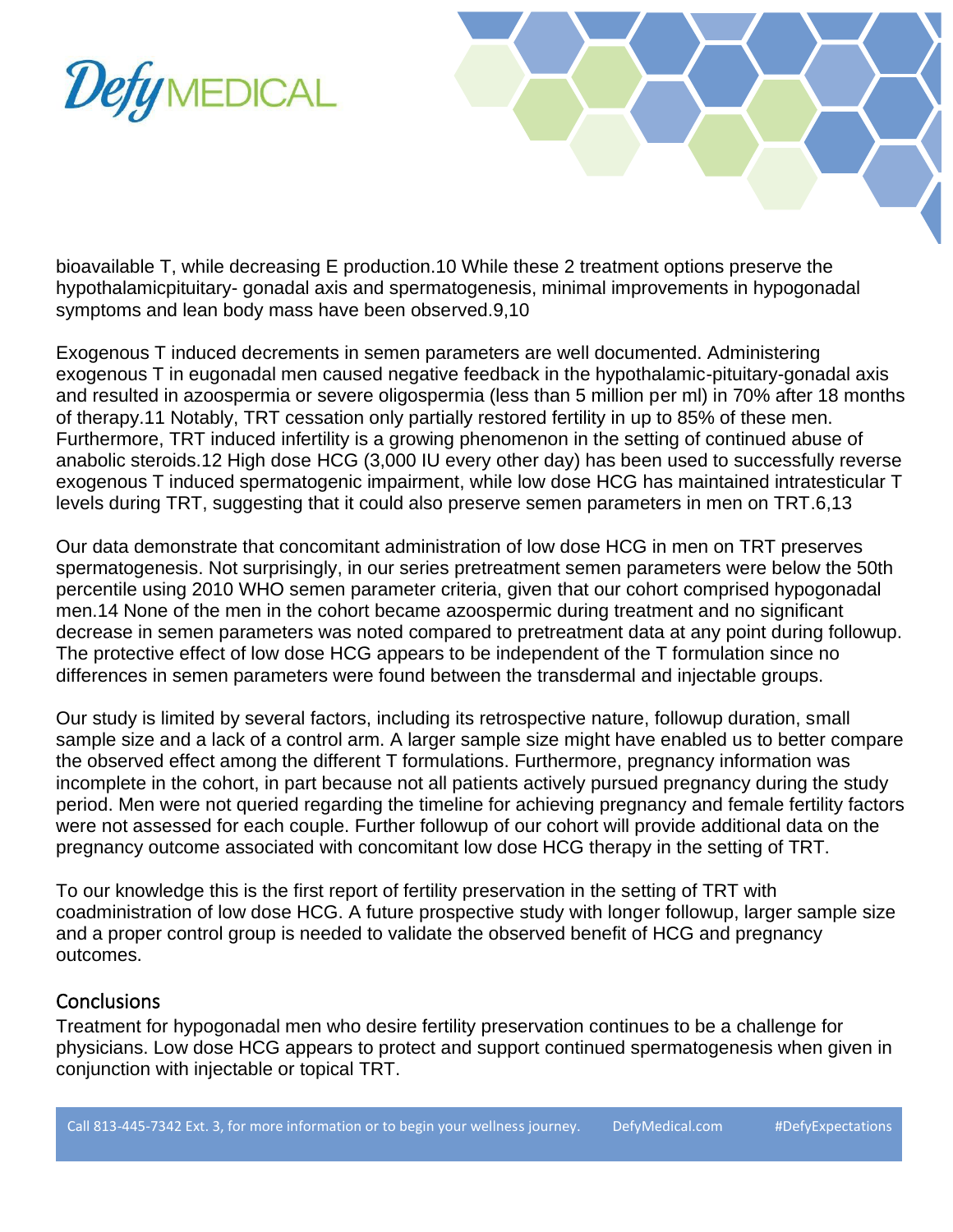



bioavailable T, while decreasing E production.10 While these 2 treatment options preserve the hypothalamicpituitary- gonadal axis and spermatogenesis, minimal improvements in hypogonadal symptoms and lean body mass have been observed.9,10

Exogenous T induced decrements in semen parameters are well documented. Administering exogenous T in eugonadal men caused negative feedback in the hypothalamic-pituitary-gonadal axis and resulted in azoospermia or severe oligospermia (less than 5 million per ml) in 70% after 18 months of therapy.11 Notably, TRT cessation only partially restored fertility in up to 85% of these men. Furthermore, TRT induced infertility is a growing phenomenon in the setting of continued abuse of anabolic steroids.12 High dose HCG (3,000 IU every other day) has been used to successfully reverse exogenous T induced spermatogenic impairment, while low dose HCG has maintained intratesticular T levels during TRT, suggesting that it could also preserve semen parameters in men on TRT.6,13

Our data demonstrate that concomitant administration of low dose HCG in men on TRT preserves spermatogenesis. Not surprisingly, in our series pretreatment semen parameters were below the 50th percentile using 2010 WHO semen parameter criteria, given that our cohort comprised hypogonadal men.14 None of the men in the cohort became azoospermic during treatment and no significant decrease in semen parameters was noted compared to pretreatment data at any point during followup. The protective effect of low dose HCG appears to be independent of the T formulation since no differences in semen parameters were found between the transdermal and injectable groups.

Our study is limited by several factors, including its retrospective nature, followup duration, small sample size and a lack of a control arm. A larger sample size might have enabled us to better compare the observed effect among the different T formulations. Furthermore, pregnancy information was incomplete in the cohort, in part because not all patients actively pursued pregnancy during the study period. Men were not queried regarding the timeline for achieving pregnancy and female fertility factors were not assessed for each couple. Further followup of our cohort will provide additional data on the pregnancy outcome associated with concomitant low dose HCG therapy in the setting of TRT.

To our knowledge this is the first report of fertility preservation in the setting of TRT with coadministration of low dose HCG. A future prospective study with longer followup, larger sample size and a proper control group is needed to validate the observed benefit of HCG and pregnancy outcomes.

### **Conclusions**

Treatment for hypogonadal men who desire fertility preservation continues to be a challenge for physicians. Low dose HCG appears to protect and support continued spermatogenesis when given in conjunction with injectable or topical TRT.